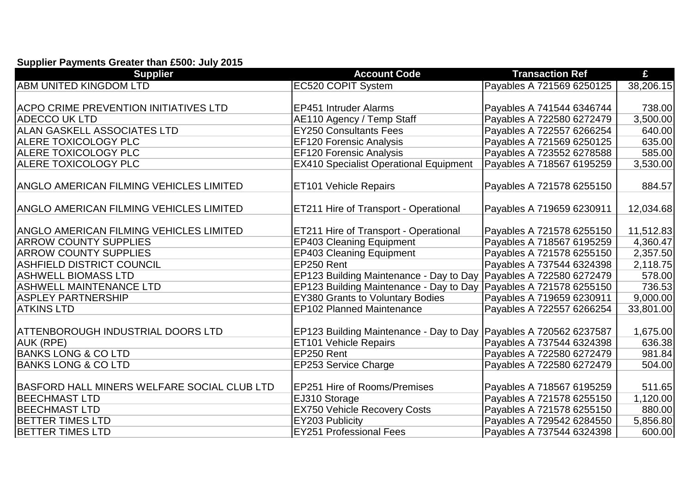## **Supplier Payments Greater than £500: July 2015**

| <b>Supplier</b>                                | <b>Account Code</b>                                                | <b>Transaction Ref</b>    | £         |
|------------------------------------------------|--------------------------------------------------------------------|---------------------------|-----------|
| <b>ABM UNITED KINGDOM LTD</b>                  | <b>EC520 COPIT System</b>                                          | Payables A 721569 6250125 | 38,206.15 |
|                                                |                                                                    |                           |           |
| <b>ACPO CRIME PREVENTION INITIATIVES LTD</b>   | <b>EP451 Intruder Alarms</b>                                       | Payables A 741544 6346744 | 738.00    |
| <b>ADECCO UK LTD</b>                           | AE110 Agency / Temp Staff                                          | Payables A 722580 6272479 | 3,500.00  |
| <b>ALAN GASKELL ASSOCIATES LTD</b>             | <b>EY250 Consultants Fees</b>                                      | Payables A 722557 6266254 | 640.00    |
| <b>ALERE TOXICOLOGY PLC</b>                    | <b>EF120 Forensic Analysis</b>                                     | Payables A 721569 6250125 | 635.00    |
| <b>ALERE TOXICOLOGY PLC</b>                    | <b>EF120 Forensic Analysis</b>                                     | Payables A 723552 6278588 | 585.00    |
| <b>ALERE TOXICOLOGY PLC</b>                    | <b>EX410 Specialist Operational Equipment</b>                      | Payables A 718567 6195259 | 3,530.00  |
|                                                |                                                                    |                           |           |
| <b>ANGLO AMERICAN FILMING VEHICLES LIMITED</b> | <b>ET101 Vehicle Repairs</b>                                       | Payables A 721578 6255150 | 884.57    |
|                                                |                                                                    |                           |           |
| ANGLO AMERICAN FILMING VEHICLES LIMITED        | <b>ET211 Hire of Transport - Operational</b>                       | Payables A 719659 6230911 | 12,034.68 |
|                                                |                                                                    |                           |           |
| <b>ANGLO AMERICAN FILMING VEHICLES LIMITED</b> | ET211 Hire of Transport - Operational                              | Payables A 721578 6255150 | 11,512.83 |
| <b>ARROW COUNTY SUPPLIES</b>                   | <b>EP403 Cleaning Equipment</b>                                    | Payables A 718567 6195259 | 4,360.47  |
| <b>ARROW COUNTY SUPPLIES</b>                   | <b>EP403 Cleaning Equipment</b>                                    | Payables A 721578 6255150 | 2,357.50  |
| <b>ASHFIELD DISTRICT COUNCIL</b>               | EP250 Rent                                                         | Payables A 737544 6324398 | 2,118.75  |
| <b>ASHWELL BIOMASS LTD</b>                     | EP123 Building Maintenance - Day to Day Payables A 722580 6272479  |                           | 578.00    |
| <b>ASHWELL MAINTENANCE LTD</b>                 | EP123 Building Maintenance - Day to Day                            | Payables A 721578 6255150 | 736.53    |
| <b>ASPLEY PARTNERSHIP</b>                      | <b>EY380 Grants to Voluntary Bodies</b>                            | Payables A 719659 6230911 | 9,000.00  |
| <b>ATKINS LTD</b>                              | <b>EP102 Planned Maintenance</b>                                   | Payables A 722557 6266254 | 33,801.00 |
|                                                |                                                                    |                           |           |
| <b>ATTENBOROUGH INDUSTRIAL DOORS LTD</b>       | EP123 Building Maintenance - Day to Day (Payables A 720562 6237587 |                           | 1,675.00  |
| AUK (RPE)                                      | ET101 Vehicle Repairs                                              | Payables A 737544 6324398 | 636.38    |
| <b>BANKS LONG &amp; CO LTD</b>                 | EP250 Rent                                                         | Payables A 722580 6272479 | 981.84    |
| <b>BANKS LONG &amp; CO LTD</b>                 | EP253 Service Charge                                               | Payables A 722580 6272479 | 504.00    |
|                                                |                                                                    |                           |           |
| BASFORD HALL MINERS WELFARE SOCIAL CLUB LTD    | EP251 Hire of Rooms/Premises                                       | Payables A 718567 6195259 | 511.65    |
| <b>BEECHMAST LTD</b>                           | EJ310 Storage                                                      | Payables A 721578 6255150 | 1,120.00  |
| <b>BEECHMAST LTD</b>                           | <b>EX750 Vehicle Recovery Costs</b>                                | Payables A 721578 6255150 | 880.00    |
| <b>IBETTER TIMES LTD</b>                       | EY203 Publicity                                                    | Payables A 729542 6284550 | 5,856.80  |
| <b>BETTER TIMES LTD</b>                        | <b>EY251 Professional Fees</b>                                     | Payables A 737544 6324398 | 600.00    |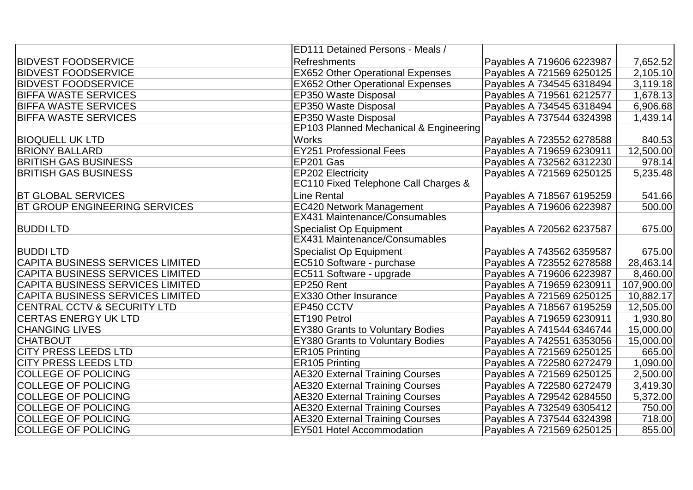|                                         | ED111 Detained Persons - Meals /        |                           |            |
|-----------------------------------------|-----------------------------------------|---------------------------|------------|
| <b>BIDVEST FOODSERVICE</b>              | <b>Refreshments</b>                     | Payables A 719606 6223987 | 7,652.52   |
| <b>BIDVEST FOODSERVICE</b>              | <b>EX652 Other Operational Expenses</b> | Payables A 721569 6250125 | 2,105.10   |
| <b>BIDVEST FOODSERVICE</b>              | <b>EX652 Other Operational Expenses</b> | Payables A 734545 6318494 | 3,119.18   |
| <b>BIFFA WASTE SERVICES</b>             | EP350 Waste Disposal                    | Payables A 719561 6212577 | 1,678.13   |
| <b>BIFFA WASTE SERVICES</b>             | EP350 Waste Disposal                    | Payables A 734545 6318494 | 6,906.68   |
| <b>BIFFA WASTE SERVICES</b>             | EP350 Waste Disposal                    | Payables A 737544 6324398 | 1,439.14   |
|                                         | EP103 Planned Mechanical & Engineering  |                           |            |
| <b>BIOQUELL UK LTD</b>                  | <b>Works</b>                            | Payables A 723552 6278588 | 840.53     |
| <b>BRIONY BALLARD</b>                   | <b>EY251 Professional Fees</b>          | Payables A 719659 6230911 | 12,500.00  |
| <b>BRITISH GAS BUSINESS</b>             | EP201 Gas                               | Payables A 732562 6312230 | 978.14     |
| <b>BRITISH GAS BUSINESS</b>             | EP202 Electricity                       | Payables A 721569 6250125 | 5,235.48   |
|                                         | EC110 Fixed Telephone Call Charges &    |                           |            |
| <b>BT GLOBAL SERVICES</b>               | Line Rental                             | Payables A 718567 6195259 | 541.66     |
| <b>BT GROUP ENGINEERING SERVICES</b>    | <b>EC420 Network Management</b>         | Payables A 719606 6223987 | 500.00     |
|                                         | EX431 Maintenance/Consumables           |                           |            |
| <b>BUDDILTD</b>                         | <b>Specialist Op Equipment</b>          | Payables A 720562 6237587 | 675.00     |
|                                         | <b>EX431 Maintenance/Consumables</b>    |                           |            |
| <b>BUDDILTD</b>                         | <b>Specialist Op Equipment</b>          | Payables A 743562 6359587 | 675.00     |
| CAPITA BUSINESS SERVICES LIMITED        | EC510 Software - purchase               | Payables A 723552 6278588 | 28,463.14  |
| CAPITA BUSINESS SERVICES LIMITED        | EC511 Software - upgrade                | Payables A 719606 6223987 | 8,460.00   |
| CAPITA BUSINESS SERVICES LIMITED        | EP250 Rent                              | Payables A 719659 6230911 | 107,900.00 |
| <b>CAPITA BUSINESS SERVICES LIMITED</b> | <b>EX330 Other Insurance</b>            | Payables A 721569 6250125 | 10,882.17  |
| <b>CENTRAL CCTV &amp; SECURITY LTD</b>  | EP450 CCTV                              | Payables A 718567 6195259 | 12,505.00  |
| <b>CERTAS ENERGY UK LTD</b>             | ET190 Petrol                            | Payables A 719659 6230911 | 1,930.80   |
| <b>CHANGING LIVES</b>                   | <b>EY380 Grants to Voluntary Bodies</b> | Payables A 741544 6346744 | 15,000.00  |
| <b>CHATBOUT</b>                         | <b>EY380 Grants to Voluntary Bodies</b> | Payables A 742551 6353056 | 15,000.00  |
| <b>CITY PRESS LEEDS LTD</b>             | ER105 Printing                          | Payables A 721569 6250125 | 665.00     |
| <b>CITY PRESS LEEDS LTD</b>             | <b>ER105 Printing</b>                   | Payables A 722580 6272479 | 1,090.00   |
| <b>COLLEGE OF POLICING</b>              | <b>AE320 External Training Courses</b>  | Payables A 721569 6250125 | 2,500.00   |
| <b>COLLEGE OF POLICING</b>              | <b>AE320 External Training Courses</b>  | Payables A 722580 6272479 | 3,419.30   |
| <b>COLLEGE OF POLICING</b>              | <b>AE320 External Training Courses</b>  | Payables A 729542 6284550 | 5,372.00   |
| <b>COLLEGE OF POLICING</b>              | <b>AE320 External Training Courses</b>  | Payables A 732549 6305412 | 750.00     |
| <b>COLLEGE OF POLICING</b>              | <b>AE320 External Training Courses</b>  | Payables A 737544 6324398 | 718.00     |
| <b>COLLEGE OF POLICING</b>              | <b>EY501 Hotel Accommodation</b>        | Payables A 721569 6250125 | 855.00     |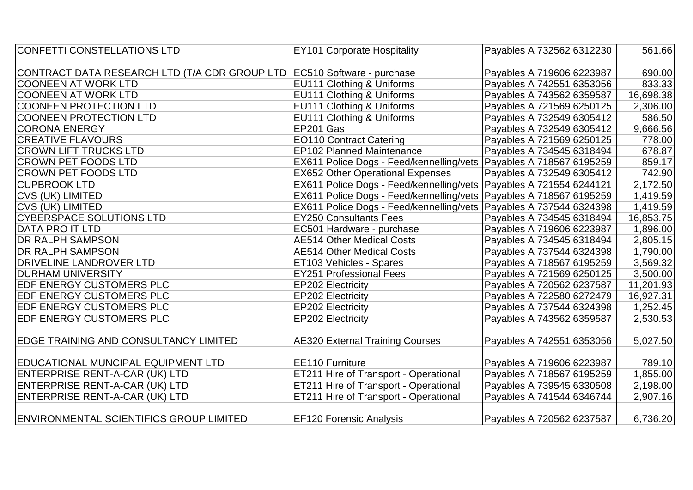| <b>CONFETTI CONSTELLATIONS LTD</b>                                        | <b>EY101 Corporate Hospitality</b>                                   | Payables A 732562 6312230 | 561.66    |
|---------------------------------------------------------------------------|----------------------------------------------------------------------|---------------------------|-----------|
|                                                                           |                                                                      |                           |           |
| CONTRACT DATA RESEARCH LTD (T/A CDR GROUP LTD   EC510 Software - purchase |                                                                      | Payables A 719606 6223987 | 690.00    |
| <b>COONEEN AT WORK LTD</b>                                                | <b>EU111 Clothing &amp; Uniforms</b>                                 | Payables A 742551 6353056 | 833.33    |
| <b>COONEEN AT WORK LTD</b>                                                | EU111 Clothing & Uniforms                                            | Payables A 743562 6359587 | 16,698.38 |
| COONEEN PROTECTION LTD                                                    | EU111 Clothing & Uniforms                                            | Payables A 721569 6250125 | 2,306.00  |
| COONEEN PROTECTION LTD                                                    | EU111 Clothing & Uniforms                                            | Payables A 732549 6305412 | 586.50    |
| <b>CORONA ENERGY</b>                                                      | EP201 Gas                                                            | Payables A 732549 6305412 | 9,666.56  |
| <b>CREATIVE FLAVOURS</b>                                                  | <b>EO110 Contract Catering</b>                                       | Payables A 721569 6250125 | 778.00    |
| <b>CROWN LIFT TRUCKS LTD</b>                                              | <b>EP102 Planned Maintenance</b>                                     | Payables A 734545 6318494 | 678.87    |
| <b>CROWN PET FOODS LTD</b>                                                | EX611 Police Dogs - Feed/kennelling/vets Payables A 718567 6195259   |                           | 859.17    |
| <b>ICROWN PET FOODS LTD</b>                                               | <b>EX652 Other Operational Expenses</b>                              | Payables A 732549 6305412 | 742.90    |
| <b>CUPBROOK LTD</b>                                                       | EX611 Police Dogs - Feed/kennelling/vets   Payables A 721554 6244121 |                           | 2,172.50  |
| <b>CVS (UK) LIMITED</b>                                                   | EX611 Police Dogs - Feed/kennelling/vets   Payables A 718567 6195259 |                           | 1,419.59  |
| <b>CVS (UK) LIMITED</b>                                                   | EX611 Police Dogs - Feed/kennelling/vets Payables A 737544 6324398   |                           | 1,419.59  |
| CYBERSPACE SOLUTIONS LTD                                                  | <b>EY250 Consultants Fees</b>                                        | Payables A 734545 6318494 | 16,853.75 |
| <b>DATA PRO IT LTD</b>                                                    | EC501 Hardware - purchase                                            | Payables A 719606 6223987 | 1,896.00  |
| <b>DR RALPH SAMPSON</b>                                                   | <b>AE514 Other Medical Costs</b>                                     | Payables A 734545 6318494 | 2,805.15  |
| <b>DR RALPH SAMPSON</b>                                                   | <b>AE514 Other Medical Costs</b>                                     | Payables A 737544 6324398 | 1,790.00  |
| <b>DRIVELINE LANDROVER LTD</b>                                            | <b>ET103 Vehicles - Spares</b>                                       | Payables A 718567 6195259 | 3,569.32  |
| <b>IDURHAM UNIVERSITY</b>                                                 | <b>EY251 Professional Fees</b>                                       | Payables A 721569 6250125 | 3,500.00  |
| <b>EDF ENERGY CUSTOMERS PLC</b>                                           | <b>EP202 Electricity</b>                                             | Payables A 720562 6237587 | 11,201.93 |
| <b>EDF ENERGY CUSTOMERS PLC</b>                                           | <b>EP202 Electricity</b>                                             | Payables A 722580 6272479 | 16,927.31 |
| EDF ENERGY CUSTOMERS PLC                                                  | <b>EP202 Electricity</b>                                             | Payables A 737544 6324398 | 1,252.45  |
| <b>EDF ENERGY CUSTOMERS PLC</b>                                           | <b>EP202 Electricity</b>                                             | Payables A 743562 6359587 | 2,530.53  |
|                                                                           |                                                                      |                           |           |
| EDGE TRAINING AND CONSULTANCY LIMITED                                     | <b>AE320 External Training Courses</b>                               | Payables A 742551 6353056 | 5,027.50  |
|                                                                           |                                                                      |                           |           |
| EDUCATIONAL MUNCIPAL EQUIPMENT LTD                                        | <b>EE110 Furniture</b>                                               | Payables A 719606 6223987 | 789.10    |
| ENTERPRISE RENT-A-CAR (UK) LTD                                            | ET211 Hire of Transport - Operational                                | Payables A 718567 6195259 | 1,855.00  |
| ENTERPRISE RENT-A-CAR (UK) LTD                                            | ET211 Hire of Transport - Operational                                | Payables A 739545 6330508 | 2,198.00  |
| ENTERPRISE RENT-A-CAR (UK) LTD                                            | ET211 Hire of Transport - Operational                                | Payables A 741544 6346744 | 2,907.16  |
|                                                                           |                                                                      |                           |           |
| <b>ENVIRONMENTAL SCIENTIFICS GROUP LIMITED</b>                            | <b>EF120 Forensic Analysis</b>                                       | Payables A 720562 6237587 | 6,736.20  |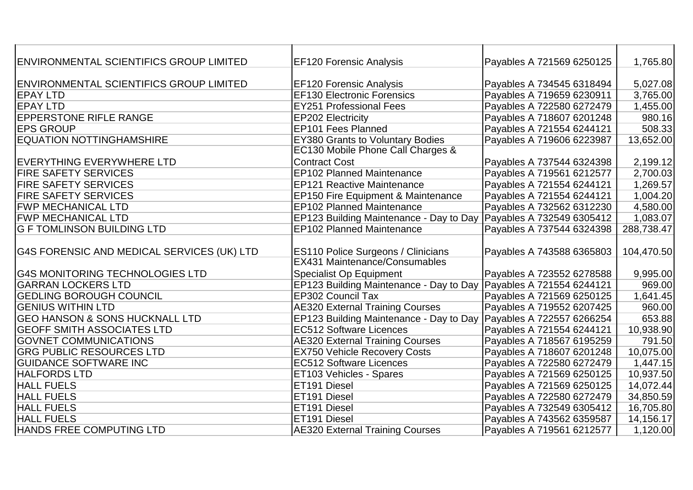| ENVIRONMENTAL SCIENTIFICS GROUP LIMITED        | <b>EF120 Forensic Analysis</b>                                    | Payables A 721569 6250125 | 1,765.80   |
|------------------------------------------------|-------------------------------------------------------------------|---------------------------|------------|
|                                                |                                                                   |                           |            |
| <b>ENVIRONMENTAL SCIENTIFICS GROUP LIMITED</b> | <b>EF120 Forensic Analysis</b>                                    | Payables A 734545 6318494 | 5,027.08   |
| <b>EPAY LTD</b>                                | <b>EF130 Electronic Forensics</b>                                 | Payables A 719659 6230911 | 3,765.00   |
| <b>EPAY LTD</b>                                | <b>EY251 Professional Fees</b>                                    | Payables A 722580 6272479 | 1,455.00   |
| <b>EPPERSTONE RIFLE RANGE</b>                  | <b>EP202 Electricity</b>                                          | Payables A 718607 6201248 | 980.16     |
| <b>EPS GROUP</b>                               | <b>EP101 Fees Planned</b>                                         | Payables A 721554 6244121 | 508.33     |
| <b>EQUATION NOTTINGHAMSHIRE</b>                | <b>EY380 Grants to Voluntary Bodies</b>                           | Payables A 719606 6223987 | 13,652.00  |
|                                                | EC130 Mobile Phone Call Charges &                                 |                           |            |
| <b>EVERYTHING EVERYWHERE LTD</b>               | <b>Contract Cost</b>                                              | Payables A 737544 6324398 | 2,199.12   |
| <b>FIRE SAFETY SERVICES</b>                    | <b>EP102 Planned Maintenance</b>                                  | Payables A 719561 6212577 | 2,700.03   |
| <b>FIRE SAFETY SERVICES</b>                    | <b>EP121 Reactive Maintenance</b>                                 | Payables A 721554 6244121 | 1,269.57   |
| <b>FIRE SAFETY SERVICES</b>                    | <b>EP150 Fire Equipment &amp; Maintenance</b>                     | Payables A 721554 6244121 | 1,004.20   |
| <b>FWP MECHANICAL LTD</b>                      | <b>EP102 Planned Maintenance</b>                                  | Payables A 732562 6312230 | 4,580.00   |
| <b>FWP MECHANICAL LTD</b>                      | EP123 Building Maintenance - Day to Day Payables A 732549 6305412 |                           | 1,083.07   |
| <b>IG F TOMLINSON BUILDING LTD</b>             | <b>EP102 Planned Maintenance</b>                                  | Payables A 737544 6324398 | 288,738.47 |
|                                                |                                                                   |                           |            |
| G4S FORENSIC AND MEDICAL SERVICES (UK) LTD     | <b>ES110 Police Surgeons / Clinicians</b>                         | Payables A 743588 6365803 | 104,470.50 |
|                                                | <b>EX431 Maintenance/Consumables</b>                              |                           |            |
| <b>G4S MONITORING TECHNOLOGIES LTD</b>         | <b>Specialist Op Equipment</b>                                    | Payables A 723552 6278588 | 9,995.00   |
| <b>GARRAN LOCKERS LTD</b>                      | EP123 Building Maintenance - Day to Day Payables A 721554 6244121 |                           | 969.00     |
| <b>GEDLING BOROUGH COUNCIL</b>                 | EP302 Council Tax                                                 | Payables A 721569 6250125 | 1,641.45   |
| <b>IGENIUS WITHIN LTD</b>                      | <b>AE320 External Training Courses</b>                            | Payables A 719552 6207425 | 960.00     |
| <b>GEO HANSON &amp; SONS HUCKNALL LTD</b>      | EP123 Building Maintenance - Day to Day                           | Payables A 722557 6266254 | 653.88     |
| <b>GEOFF SMITH ASSOCIATES LTD</b>              | <b>EC512 Software Licences</b>                                    | Payables A 721554 6244121 | 10,938.90  |
| <b>GOVNET COMMUNICATIONS</b>                   | <b>AE320 External Training Courses</b>                            | Payables A 718567 6195259 | 791.50     |
| <b>GRG PUBLIC RESOURCES LTD</b>                | <b>EX750 Vehicle Recovery Costs</b>                               | Payables A 718607 6201248 | 10,075.00  |
| <b>GUIDANCE SOFTWARE INC</b>                   | <b>EC512 Software Licences</b>                                    | Payables A 722580 6272479 | 1,447.15   |
| <b>HALFORDS LTD</b>                            | <b>ET103 Vehicles - Spares</b>                                    | Payables A 721569 6250125 | 10,937.50  |
| <b>HALL FUELS</b>                              | <b>ET191 Diesel</b>                                               | Payables A 721569 6250125 | 14,072.44  |
| <b>HALL FUELS</b>                              | <b>ET191 Diesel</b>                                               | Payables A 722580 6272479 | 34,850.59  |
| <b>HALL FUELS</b>                              | <b>ET191 Diesel</b>                                               | Payables A 732549 6305412 | 16,705.80  |
| <b>HALL FUELS</b>                              | <b>IET191 Diesel</b>                                              | Payables A 743562 6359587 | 14,156.17  |
| HANDS FREE COMPUTING LTD                       | <b>AE320 External Training Courses</b>                            | Payables A 719561 6212577 | 1,120.00   |
|                                                |                                                                   |                           |            |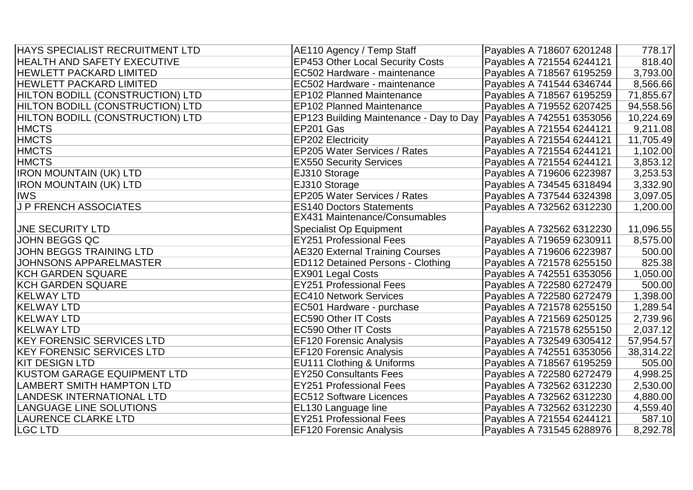| HAYS SPECIALIST RECRUITMENT LTD  | AE110 Agency / Temp Staff                                           | Payables A 718607 6201248 | 778.17    |
|----------------------------------|---------------------------------------------------------------------|---------------------------|-----------|
| HEALTH AND SAFETY EXECUTIVE      | <b>EP453 Other Local Security Costs</b>                             | Payables A 721554 6244121 | 818.40    |
| <b>HEWLETT PACKARD LIMITED</b>   | EC502 Hardware - maintenance                                        | Payables A 718567 6195259 | 3,793.00  |
| <b>HEWLETT PACKARD LIMITED</b>   | EC502 Hardware - maintenance                                        | Payables A 741544 6346744 | 8,566.66  |
| HILTON BODILL (CONSTRUCTION) LTD | <b>EP102 Planned Maintenance</b>                                    | Payables A 718567 6195259 | 71,855.67 |
| HILTON BODILL (CONSTRUCTION) LTD | <b>EP102 Planned Maintenance</b>                                    | Payables A 719552 6207425 | 94,558.56 |
| HILTON BODILL (CONSTRUCTION) LTD | EP123 Building Maintenance - Day to Day   Payables A 742551 6353056 |                           | 10,224.69 |
| <b>HMCTS</b>                     | EP201 Gas                                                           | Payables A 721554 6244121 | 9,211.08  |
| <b>HMCTS</b>                     | <b>EP202 Electricity</b>                                            | Payables A 721554 6244121 | 11,705.49 |
| <b>HMCTS</b>                     | EP205 Water Services / Rates                                        | Payables A 721554 6244121 | 1,102.00  |
| <b>HMCTS</b>                     | <b>EX550 Security Services</b>                                      | Payables A 721554 6244121 | 3,853.12  |
| <b>IRON MOUNTAIN (UK) LTD</b>    | EJ310 Storage                                                       | Payables A 719606 6223987 | 3,253.53  |
| <b>IRON MOUNTAIN (UK) LTD</b>    | EJ310 Storage                                                       | Payables A 734545 6318494 | 3,332.90  |
| <b>IWS</b>                       | EP205 Water Services / Rates                                        | Payables A 737544 6324398 | 3,097.05  |
| <b>J P FRENCH ASSOCIATES</b>     | <b>ES140 Doctors Statements</b>                                     | Payables A 732562 6312230 | 1,200.00  |
|                                  | <b>EX431 Maintenance/Consumables</b>                                |                           |           |
| <b>JNE SECURITY LTD</b>          | <b>Specialist Op Equipment</b>                                      | Payables A 732562 6312230 | 11,096.55 |
| <b>JOHN BEGGS QC</b>             | <b>EY251 Professional Fees</b>                                      | Payables A 719659 6230911 | 8,575.00  |
| <b>JOHN BEGGS TRAINING LTD</b>   | <b>AE320 External Training Courses</b>                              | Payables A 719606 6223987 | 500.00    |
| <b>JOHNSONS APPARELMASTER</b>    | <b>ED112 Detained Persons - Clothing</b>                            | Payables A 721578 6255150 | 825.38    |
| KCH GARDEN SQUARE                | <b>EX901 Legal Costs</b>                                            | Payables A 742551 6353056 | 1,050.00  |
| KCH GARDEN SQUARE                | <b>EY251 Professional Fees</b>                                      | Payables A 722580 6272479 | 500.00    |
| <b>KELWAY LTD</b>                | <b>EC410 Network Services</b>                                       | Payables A 722580 6272479 | 1,398.00  |
| <b>KELWAY LTD</b>                | EC501 Hardware - purchase                                           | Payables A 721578 6255150 | 1,289.54  |
| <b>KELWAY LTD</b>                | <b>EC590 Other IT Costs</b>                                         | Payables A 721569 6250125 | 2,739.96  |
| <b>KELWAY LTD</b>                | <b>EC590 Other IT Costs</b>                                         | Payables A 721578 6255150 | 2,037.12  |
| <b>KEY FORENSIC SERVICES LTD</b> | <b>EF120 Forensic Analysis</b>                                      | Payables A 732549 6305412 | 57,954.57 |
| <b>KEY FORENSIC SERVICES LTD</b> | <b>EF120 Forensic Analysis</b>                                      | Payables A 742551 6353056 | 38,314.22 |
| <b>KIT DESIGN LTD</b>            | EU111 Clothing & Uniforms                                           | Payables A 718567 6195259 | 505.00    |
| KUSTOM GARAGE EQUIPMENT LTD      | <b>EY250 Consultants Fees</b>                                       | Payables A 722580 6272479 | 4,998.25  |
| LAMBERT SMITH HAMPTON LTD        | <b>EY251 Professional Fees</b>                                      | Payables A 732562 6312230 | 2,530.00  |
| LANDESK INTERNATIONAL LTD        | <b>EC512 Software Licences</b>                                      | Payables A 732562 6312230 | 4,880.00  |
| <b>LANGUAGE LINE SOLUTIONS</b>   | EL130 Language line                                                 | Payables A 732562 6312230 | 4,559.40  |
| <b>LAURENCE CLARKE LTD</b>       | <b>EY251 Professional Fees</b>                                      | Payables A 721554 6244121 | 587.10    |
| <b>LGC LTD</b>                   | <b>EF120 Forensic Analysis</b>                                      | Payables A 731545 6288976 | 8,292.78  |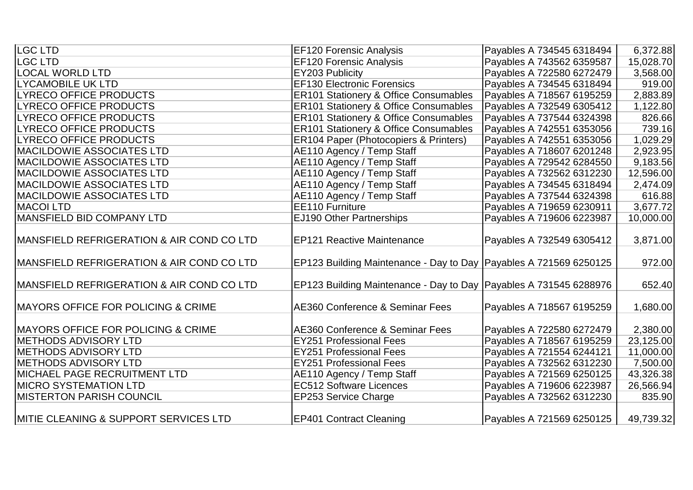| LGC LTD                                           | <b>EF120 Forensic Analysis</b>                                      | Payables A 734545 6318494 | 6,372.88  |
|---------------------------------------------------|---------------------------------------------------------------------|---------------------------|-----------|
| <b>LGC LTD</b>                                    | <b>EF120 Forensic Analysis</b>                                      | Payables A 743562 6359587 | 15,028.70 |
| <b>LOCAL WORLD LTD</b>                            | EY203 Publicity                                                     | Payables A 722580 6272479 | 3,568.00  |
| <b>LYCAMOBILE UK LTD</b>                          | <b>EF130 Electronic Forensics</b>                                   | Payables A 734545 6318494 | 919.00    |
| <b>LYRECO OFFICE PRODUCTS</b>                     | ER101 Stationery & Office Consumables                               | Payables A 718567 6195259 | 2,883.89  |
| <b>LYRECO OFFICE PRODUCTS</b>                     | <b>ER101 Stationery &amp; Office Consumables</b>                    | Payables A 732549 6305412 | 1,122.80  |
| <b>LYRECO OFFICE PRODUCTS</b>                     | <b>ER101 Stationery &amp; Office Consumables</b>                    | Payables A 737544 6324398 | 826.66    |
| <b>LYRECO OFFICE PRODUCTS</b>                     | <b>ER101 Stationery &amp; Office Consumables</b>                    | Payables A 742551 6353056 | 739.16    |
| <b>LYRECO OFFICE PRODUCTS</b>                     | <b>ER104 Paper (Photocopiers &amp; Printers)</b>                    | Payables A 742551 6353056 | 1,029.29  |
| <b>MACILDOWIE ASSOCIATES LTD</b>                  | AE110 Agency / Temp Staff                                           | Payables A 718607 6201248 | 2,923.95  |
| <b>MACILDOWIE ASSOCIATES LTD</b>                  | AE110 Agency / Temp Staff                                           | Payables A 729542 6284550 | 9,183.56  |
| <b>MACILDOWIE ASSOCIATES LTD</b>                  | AE110 Agency / Temp Staff                                           | Payables A 732562 6312230 | 12,596.00 |
| <b>MACILDOWIE ASSOCIATES LTD</b>                  | AE110 Agency / Temp Staff                                           | Payables A 734545 6318494 | 2,474.09  |
| <b>MACILDOWIE ASSOCIATES LTD</b>                  | AE110 Agency / Temp Staff                                           | Payables A 737544 6324398 | 616.88    |
| <b>MACOI LTD</b>                                  | EE110 Furniture                                                     | Payables A 719659 6230911 | 3,677.72  |
| MANSFIELD BID COMPANY LTD                         | EJ190 Other Partnerships                                            | Payables A 719606 6223987 | 10,000.00 |
| MANSFIELD REFRIGERATION & AIR COND CO LTD         | <b>EP121 Reactive Maintenance</b>                                   | Payables A 732549 6305412 | 3,871.00  |
| MANSFIELD REFRIGERATION & AIR COND CO LTD         | EP123 Building Maintenance - Day to Day   Payables A 721569 6250125 |                           | 972.00    |
| MANSFIELD REFRIGERATION & AIR COND CO LTD         | EP123 Building Maintenance - Day to Day   Payables A 731545 6288976 |                           | 652.40    |
| <b>IMAYORS OFFICE FOR POLICING &amp; CRIME</b>    | <b>AE360 Conference &amp; Seminar Fees</b>                          | Payables A 718567 6195259 | 1,680.00  |
| <b>IMAYORS OFFICE FOR POLICING &amp; CRIME</b>    | <b>AE360 Conference &amp; Seminar Fees</b>                          | Payables A 722580 6272479 | 2,380.00  |
| <b>IMETHODS ADVISORY LTD</b>                      | <b>EY251 Professional Fees</b>                                      | Payables A 718567 6195259 | 23,125.00 |
| <b>METHODS ADVISORY LTD</b>                       | <b>EY251 Professional Fees</b>                                      | Payables A 721554 6244121 | 11,000.00 |
| <b>METHODS ADVISORY LTD</b>                       | <b>EY251 Professional Fees</b>                                      | Payables A 732562 6312230 | 7,500.00  |
| <b>MICHAEL PAGE RECRUITMENT LTD</b>               | AE110 Agency / Temp Staff                                           | Payables A 721569 6250125 | 43,326.38 |
| <b>MICRO SYSTEMATION LTD</b>                      | <b>EC512 Software Licences</b>                                      | Payables A 719606 6223987 | 26,566.94 |
| <b>IMISTERTON PARISH COUNCIL</b>                  | EP253 Service Charge                                                | Payables A 732562 6312230 | 835.90    |
| <b>IMITIE CLEANING &amp; SUPPORT SERVICES LTD</b> | <b>EP401 Contract Cleaning</b>                                      | Payables A 721569 6250125 | 49,739.32 |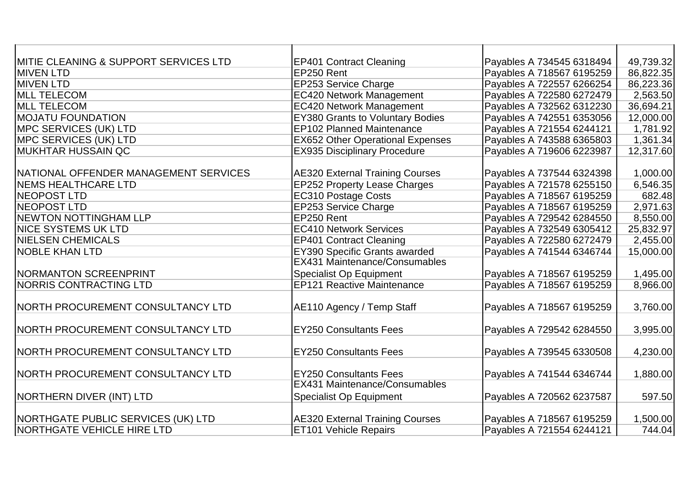| IMITIE CLEANING & SUPPORT SERVICES LTD | <b>EP401 Contract Cleaning</b>          | Payables A 734545 6318494 | 49,739.32 |
|----------------------------------------|-----------------------------------------|---------------------------|-----------|
| <b>IMIVEN LTD</b>                      | EP250 Rent                              | Payables A 718567 6195259 | 86,822.35 |
| <b>MIVEN LTD</b>                       | <b>EP253 Service Charge</b>             | Payables A 722557 6266254 | 86,223.36 |
| <b>MLL TELECOM</b>                     | <b>EC420 Network Management</b>         | Payables A 722580 6272479 | 2,563.50  |
| <b>MLL TELECOM</b>                     | <b>EC420 Network Management</b>         | Payables A 732562 6312230 | 36,694.21 |
| <b>MOJATU FOUNDATION</b>               | <b>EY380 Grants to Voluntary Bodies</b> | Payables A 742551 6353056 | 12,000.00 |
| <b>IMPC SERVICES (UK) LTD</b>          | <b>EP102 Planned Maintenance</b>        | Payables A 721554 6244121 | 1,781.92  |
| <b>MPC SERVICES (UK) LTD</b>           | <b>EX652 Other Operational Expenses</b> | Payables A 743588 6365803 | 1,361.34  |
| IMUKHTAR HUSSAIN QC                    | <b>EX935 Disciplinary Procedure</b>     | Payables A 719606 6223987 | 12,317.60 |
|                                        |                                         |                           |           |
| NATIONAL OFFENDER MANAGEMENT SERVICES  | <b>AE320 External Training Courses</b>  | Payables A 737544 6324398 | 1,000.00  |
| <b>INEMS HEALTHCARE LTD</b>            | <b>EP252 Property Lease Charges</b>     | Payables A 721578 6255150 | 6,546.35  |
| NEOPOST LTD                            | <b>EC310 Postage Costs</b>              | Payables A 718567 6195259 | 682.48    |
| NEOPOST LTD                            | EP253 Service Charge                    | Payables A 718567 6195259 | 2,971.63  |
| <b>NEWTON NOTTINGHAM LLP</b>           | EP250 Rent                              | Payables A 729542 6284550 | 8,550.00  |
| <b>NICE SYSTEMS UK LTD</b>             | <b>EC410 Network Services</b>           | Payables A 732549 6305412 | 25,832.97 |
| <b>NIELSEN CHEMICALS</b>               | <b>EP401 Contract Cleaning</b>          | Payables A 722580 6272479 | 2,455.00  |
| <b>NOBLE KHAN LTD</b>                  | <b>EY390 Specific Grants awarded</b>    | Payables A 741544 6346744 | 15,000.00 |
|                                        | <b>EX431 Maintenance/Consumables</b>    |                           |           |
| NORMANTON SCREENPRINT                  | <b>Specialist Op Equipment</b>          | Payables A 718567 6195259 | 1,495.00  |
| <b>NORRIS CONTRACTING LTD</b>          | <b>EP121 Reactive Maintenance</b>       | Payables A 718567 6195259 | 8,966.00  |
|                                        |                                         |                           |           |
| NORTH PROCUREMENT CONSULTANCY LTD      | AE110 Agency / Temp Staff               | Payables A 718567 6195259 | 3,760.00  |
|                                        |                                         |                           |           |
| NORTH PROCUREMENT CONSULTANCY LTD      | <b>EY250 Consultants Fees</b>           | Payables A 729542 6284550 | 3,995.00  |
|                                        |                                         |                           |           |
| NORTH PROCUREMENT CONSULTANCY LTD      | <b>EY250 Consultants Fees</b>           | Payables A 739545 6330508 | 4,230.00  |
|                                        |                                         |                           |           |
| NORTH PROCUREMENT CONSULTANCY LTD      | <b>EY250 Consultants Fees</b>           | Payables A 741544 6346744 | 1,880.00  |
|                                        | <b>EX431 Maintenance/Consumables</b>    |                           |           |
| NORTHERN DIVER (INT) LTD               | <b>Specialist Op Equipment</b>          | Payables A 720562 6237587 | 597.50    |
|                                        |                                         |                           |           |
| NORTHGATE PUBLIC SERVICES (UK) LTD     | <b>AE320 External Training Courses</b>  | Payables A 718567 6195259 | 1,500.00  |
| NORTHGATE VEHICLE HIRE LTD             | <b>ET101 Vehicle Repairs</b>            | Payables A 721554 6244121 | 744.04    |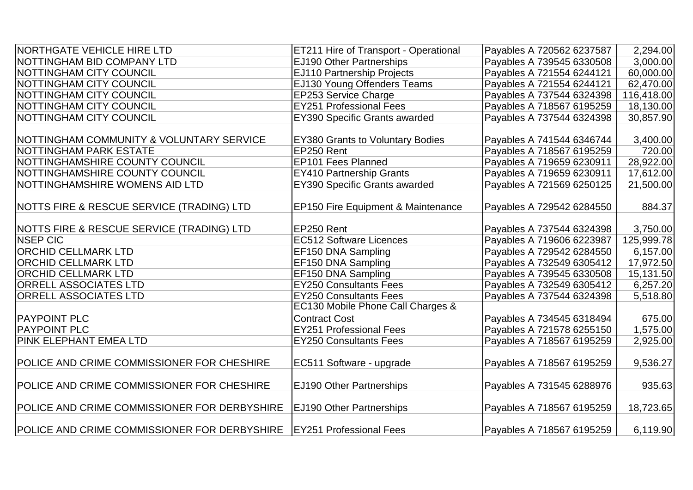| <b>INORTHGATE VEHICLE HIRE LTD</b>                   | ET211 Hire of Transport - Operational         | Payables A 720562 6237587 | 2,294.00   |
|------------------------------------------------------|-----------------------------------------------|---------------------------|------------|
| NOTTINGHAM BID COMPANY LTD                           | EJ190 Other Partnerships                      | Payables A 739545 6330508 | 3,000.00   |
| <b>INOTTINGHAM CITY COUNCIL</b>                      | <b>EJ110 Partnership Projects</b>             | Payables A 721554 6244121 | 60,000.00  |
| <b>INOTTINGHAM CITY COUNCIL</b>                      | EJ130 Young Offenders Teams                   | Payables A 721554 6244121 | 62,470.00  |
| <b>NOTTINGHAM CITY COUNCIL</b>                       | EP253 Service Charge                          | Payables A 737544 6324398 | 116,418.00 |
| <b>NOTTINGHAM CITY COUNCIL</b>                       | <b>EY251 Professional Fees</b>                | Payables A 718567 6195259 | 18,130.00  |
| NOTTINGHAM CITY COUNCIL                              | <b>EY390 Specific Grants awarded</b>          | Payables A 737544 6324398 | 30,857.90  |
|                                                      |                                               |                           |            |
| <b>INOTTINGHAM COMMUNITY &amp; VOLUNTARY SERVICE</b> | <b>EY380 Grants to Voluntary Bodies</b>       | Payables A 741544 6346744 | 3,400.00   |
| <b>INOTTINGHAM PARK ESTATE</b>                       | EP250 Rent                                    | Payables A 718567 6195259 | 720.00     |
| <b>NOTTINGHAMSHIRE COUNTY COUNCIL</b>                | <b>EP101 Fees Planned</b>                     | Payables A 719659 6230911 | 28,922.00  |
| NOTTINGHAMSHIRE COUNTY COUNCIL                       | <b>EY410 Partnership Grants</b>               | Payables A 719659 6230911 | 17,612.00  |
| NOTTINGHAMSHIRE WOMENS AID LTD                       | EY390 Specific Grants awarded                 | Payables A 721569 6250125 | 21,500.00  |
|                                                      |                                               |                           |            |
| NOTTS FIRE & RESCUE SERVICE (TRADING) LTD            | <b>EP150 Fire Equipment &amp; Maintenance</b> | Payables A 729542 6284550 | 884.37     |
|                                                      |                                               |                           |            |
| <b>NOTTS FIRE &amp; RESCUE SERVICE (TRADING) LTD</b> | EP250 Rent                                    | Payables A 737544 6324398 | 3,750.00   |
| <b>NSEP CIC</b>                                      | <b>EC512 Software Licences</b>                | Payables A 719606 6223987 | 125,999.78 |
| <b>ORCHID CELLMARK LTD</b>                           | EF150 DNA Sampling                            | Payables A 729542 6284550 | 6,157.00   |
| <b>ORCHID CELLMARK LTD</b>                           | EF150 DNA Sampling                            | Payables A 732549 6305412 | 17,972.50  |
| <b>ORCHID CELLMARK LTD</b>                           | EF150 DNA Sampling                            | Payables A 739545 6330508 | 15,131.50  |
| <b>ORRELL ASSOCIATES LTD</b>                         | <b>EY250 Consultants Fees</b>                 | Payables A 732549 6305412 | 6,257.20   |
| <b>ORRELL ASSOCIATES LTD</b>                         | <b>EY250 Consultants Fees</b>                 | Payables A 737544 6324398 | 5,518.80   |
|                                                      | EC130 Mobile Phone Call Charges &             |                           |            |
| <b>PAYPOINT PLC</b>                                  | <b>Contract Cost</b>                          | Payables A 734545 6318494 | 675.00     |
| <b>PAYPOINT PLC</b>                                  | <b>EY251 Professional Fees</b>                | Payables A 721578 6255150 | 1,575.00   |
| <b>PINK ELEPHANT EMEA LTD</b>                        | <b>EY250 Consultants Fees</b>                 | Payables A 718567 6195259 | 2,925.00   |
|                                                      |                                               |                           |            |
| POLICE AND CRIME COMMISSIONER FOR CHESHIRE           | EC511 Software - upgrade                      | Payables A 718567 6195259 | 9,536.27   |
|                                                      |                                               |                           |            |
| POLICE AND CRIME COMMISSIONER FOR CHESHIRE           | <b>EJ190 Other Partnerships</b>               | Payables A 731545 6288976 | 935.63     |
|                                                      |                                               |                           |            |
| POLICE AND CRIME COMMISSIONER FOR DERBYSHIRE         | <b>EJ190 Other Partnerships</b>               | Payables A 718567 6195259 | 18,723.65  |
|                                                      |                                               |                           |            |
| POLICE AND CRIME COMMISSIONER FOR DERBYSHIRE         | <b>EY251 Professional Fees</b>                | Payables A 718567 6195259 | 6,119.90   |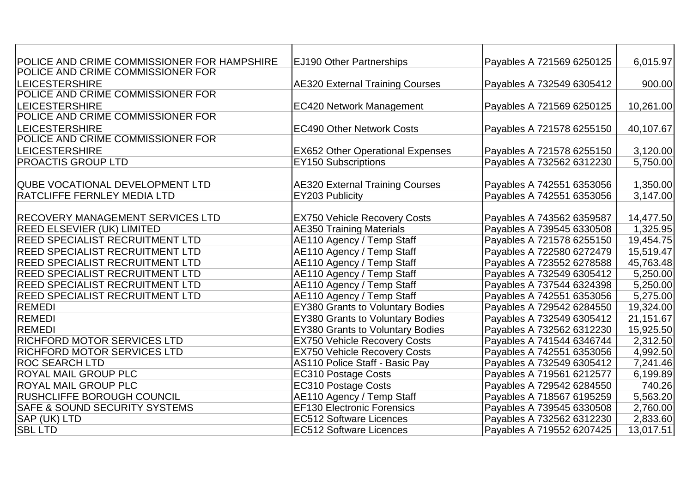| POLICE AND CRIME COMMISSIONER FOR HAMPSHIRE | <b>EJ190 Other Partnerships</b>         | Payables A 721569 6250125 | 6,015.97  |
|---------------------------------------------|-----------------------------------------|---------------------------|-----------|
| POLICE AND CRIME COMMISSIONER FOR           |                                         |                           |           |
| <b>LEICESTERSHIRE</b>                       | <b>AE320 External Training Courses</b>  | Payables A 732549 6305412 | 900.00    |
| POLICE AND CRIME COMMISSIONER FOR           |                                         |                           |           |
| <b>LEICESTERSHIRE</b>                       | <b>EC420 Network Management</b>         | Payables A 721569 6250125 | 10,261.00 |
| POLICE AND CRIME COMMISSIONER FOR           |                                         |                           |           |
| <b>LEICESTERSHIRE</b>                       | <b>EC490 Other Network Costs</b>        | Payables A 721578 6255150 | 40,107.67 |
| POLICE AND CRIME COMMISSIONER FOR           |                                         |                           |           |
| <b>LEICESTERSHIRE</b>                       | <b>EX652 Other Operational Expenses</b> | Payables A 721578 6255150 | 3,120.00  |
| <b>PROACTIS GROUP LTD</b>                   | <b>EY150 Subscriptions</b>              | Payables A 732562 6312230 | 5,750.00  |
|                                             |                                         |                           |           |
| QUBE VOCATIONAL DEVELOPMENT LTD             | <b>AE320 External Training Courses</b>  | Payables A 742551 6353056 | 1,350.00  |
| RATCLIFFE FERNLEY MEDIA LTD                 | EY203 Publicity                         | Payables A 742551 6353056 | 3,147.00  |
|                                             |                                         |                           |           |
| <b>RECOVERY MANAGEMENT SERVICES LTD</b>     | <b>EX750 Vehicle Recovery Costs</b>     | Payables A 743562 6359587 | 14,477.50 |
| <b>REED ELSEVIER (UK) LIMITED</b>           | <b>AE350 Training Materials</b>         | Payables A 739545 6330508 | 1,325.95  |
| REED SPECIALIST RECRUITMENT LTD             | AE110 Agency / Temp Staff               | Payables A 721578 6255150 | 19,454.75 |
| <b>REED SPECIALIST RECRUITMENT LTD</b>      | AE110 Agency / Temp Staff               | Payables A 722580 6272479 | 15,519.47 |
| REED SPECIALIST RECRUITMENT LTD             | AE110 Agency / Temp Staff               | Payables A 723552 6278588 | 45,763.48 |
| <b>REED SPECIALIST RECRUITMENT LTD</b>      | AE110 Agency / Temp Staff               | Payables A 732549 6305412 | 5,250.00  |
| REED SPECIALIST RECRUITMENT LTD             | AE110 Agency / Temp Staff               | Payables A 737544 6324398 | 5,250.00  |
| REED SPECIALIST RECRUITMENT LTD             | AE110 Agency / Temp Staff               | Payables A 742551 6353056 | 5,275.00  |
| REMEDI                                      | <b>EY380 Grants to Voluntary Bodies</b> | Payables A 729542 6284550 | 19,324.00 |
| REMEDI                                      | <b>EY380 Grants to Voluntary Bodies</b> | Payables A 732549 6305412 | 21,151.67 |
| <b>REMEDI</b>                               | <b>EY380 Grants to Voluntary Bodies</b> | Payables A 732562 6312230 | 15,925.50 |
| <b>RICHFORD MOTOR SERVICES LTD</b>          | <b>EX750 Vehicle Recovery Costs</b>     | Payables A 741544 6346744 | 2,312.50  |
| RICHFORD MOTOR SERVICES LTD                 | <b>EX750 Vehicle Recovery Costs</b>     | Payables A 742551 6353056 | 4,992.50  |
| <b>ROC SEARCH LTD</b>                       | AS110 Police Staff - Basic Pay          | Payables A 732549 6305412 | 7,241.46  |
| <b>ROYAL MAIL GROUP PLC</b>                 | <b>EC310 Postage Costs</b>              | Payables A 719561 6212577 | 6,199.89  |
| <b>ROYAL MAIL GROUP PLC</b>                 | <b>EC310 Postage Costs</b>              | Payables A 729542 6284550 | 740.26    |
| <b>IRUSHCLIFFE BOROUGH COUNCIL</b>          | AE110 Agency / Temp Staff               | Payables A 718567 6195259 | 5,563.20  |
| <b>SAFE &amp; SOUND SECURITY SYSTEMS</b>    | <b>EF130 Electronic Forensics</b>       | Payables A 739545 6330508 | 2,760.00  |
| <b>SAP (UK) LTD</b>                         | <b>EC512 Software Licences</b>          | Payables A 732562 6312230 | 2,833.60  |
| <b>SBL LTD</b>                              | <b>EC512 Software Licences</b>          | Payables A 719552 6207425 | 13,017.51 |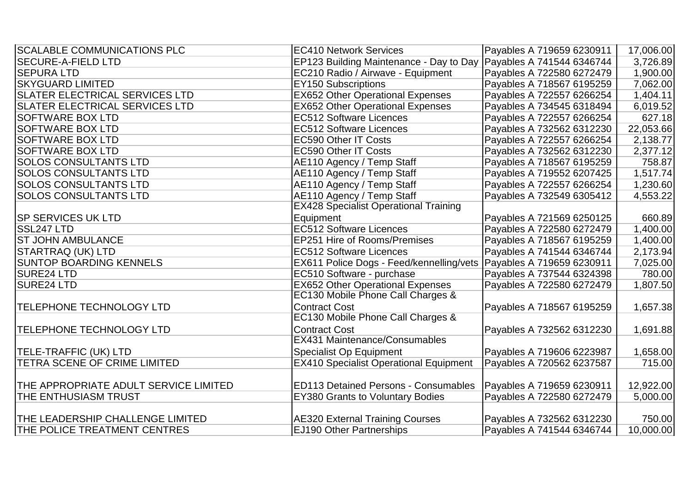| <b>SECURE-A-FIELD LTD</b><br>EP123 Building Maintenance - Day to Day   Payables A 741544 6346744<br>3,726.89<br>Payables A 722580 6272479<br><b>SEPURA LTD</b><br>EC210 Radio / Airwave - Equipment<br>1,900.00<br><b>SKYGUARD LIMITED</b><br>Payables A 718567 6195259<br><b>EY150 Subscriptions</b><br>7,062.00<br><b>EX652 Other Operational Expenses</b><br><b>SLATER ELECTRICAL SERVICES LTD</b><br>Payables A 722557 6266254<br>1,404.11<br><b>SLATER ELECTRICAL SERVICES LTD</b><br><b>EX652 Other Operational Expenses</b><br>6,019.52<br>Payables A 734545 6318494<br><b>EC512 Software Licences</b><br>627.18<br><b>SOFTWARE BOX LTD</b><br>Payables A 722557 6266254<br><b>EC512 Software Licences</b><br>Payables A 732562 6312230<br>22,053.66<br><b>SOFTWARE BOX LTD</b><br><b>SOFTWARE BOX LTD</b><br><b>EC590 Other IT Costs</b><br>Payables A 722557 6266254<br>2,138.77<br>2,377.12<br><b>SOFTWARE BOX LTD</b><br><b>EC590 Other IT Costs</b><br>Payables A 732562 6312230<br><b>SOLOS CONSULTANTS LTD</b><br>758.87<br>AE110 Agency / Temp Staff<br>Payables A 718567 6195259<br><b>SOLOS CONSULTANTS LTD</b><br>AE110 Agency / Temp Staff<br>Payables A 719552 6207425<br>1,517.74<br><b>SOLOS CONSULTANTS LTD</b><br>AE110 Agency / Temp Staff<br>Payables A 722557 6266254<br>1,230.60<br>AE110 Agency / Temp Staff<br>Payables A 732549 6305412<br><b>SOLOS CONSULTANTS LTD</b><br>4,553.22<br><b>EX428 Specialist Operational Training</b><br><b>SP SERVICES UK LTD</b><br>Equipment<br>Payables A 721569 6250125<br>660.89<br><b>EC512 Software Licences</b><br>SSL247 LTD<br>1,400.00<br>Payables A 722580 6272479<br><b>ST JOHN AMBULANCE</b><br>EP251 Hire of Rooms/Premises<br>Payables A 718567 6195259<br>1,400.00<br><b>EC512 Software Licences</b><br><b>STARTRAQ (UK) LTD</b><br>Payables A 741544 6346744<br>2,173.94<br>EX611 Police Dogs - Feed/kennelling/vets   Payables A 719659 6230911<br><b>SUNTOP BOARDING KENNELS</b><br>7,025.00<br><b>SURE24 LTD</b><br>780.00<br>EC510 Software - purchase<br>Payables A 737544 6324398<br><b>EX652 Other Operational Expenses</b><br><b>SURE24 LTD</b><br>Payables A 722580 6272479<br>1,807.50<br>EC130 Mobile Phone Call Charges &<br><b>Contract Cost</b><br>1,657.38<br>Payables A 718567 6195259<br><b>TELEPHONE TECHNOLOGY LTD</b><br>EC130 Mobile Phone Call Charges &<br>TELEPHONE TECHNOLOGY LTD<br><b>Contract Cost</b><br>Payables A 732562 6312230<br>1,691.88<br><b>EX431 Maintenance/Consumables</b><br>TELE-TRAFFIC (UK) LTD<br><b>Specialist Op Equipment</b><br>Payables A 719606 6223987<br>1,658.00<br><b>EX410 Specialist Operational Equipment</b><br>TETRA SCENE OF CRIME LIMITED<br>Payables A 720562 6237587<br>715.00<br>THE APPROPRIATE ADULT SERVICE LIMITED<br><b>ED113 Detained Persons - Consumables</b><br>12,922.00<br>Payables A 719659 6230911<br>THE ENTHUSIASM TRUST<br><b>EY380 Grants to Voluntary Bodies</b><br>Payables A 722580 6272479<br>5,000.00<br><b>AE320 External Training Courses</b><br>THE LEADERSHIP CHALLENGE LIMITED<br>Payables A 732562 6312230<br>750.00<br>10,000.00<br>THE POLICE TREATMENT CENTRES<br><b>EJ190 Other Partnerships</b><br>Payables A 741544 6346744 | <b>SCALABLE COMMUNICATIONS PLC</b> | <b>EC410 Network Services</b> | Payables A 719659 6230911 | 17,006.00 |
|-----------------------------------------------------------------------------------------------------------------------------------------------------------------------------------------------------------------------------------------------------------------------------------------------------------------------------------------------------------------------------------------------------------------------------------------------------------------------------------------------------------------------------------------------------------------------------------------------------------------------------------------------------------------------------------------------------------------------------------------------------------------------------------------------------------------------------------------------------------------------------------------------------------------------------------------------------------------------------------------------------------------------------------------------------------------------------------------------------------------------------------------------------------------------------------------------------------------------------------------------------------------------------------------------------------------------------------------------------------------------------------------------------------------------------------------------------------------------------------------------------------------------------------------------------------------------------------------------------------------------------------------------------------------------------------------------------------------------------------------------------------------------------------------------------------------------------------------------------------------------------------------------------------------------------------------------------------------------------------------------------------------------------------------------------------------------------------------------------------------------------------------------------------------------------------------------------------------------------------------------------------------------------------------------------------------------------------------------------------------------------------------------------------------------------------------------------------------------------------------------------------------------------------------------------------------------------------------------------------------------------------------------------------------------------------------------------------------------------------------------------------------------------------------------------------------------------------------------------------------------------------------------------------------------------------------------------------------------------------------------------------------------------------------------------------------------------------------------------------------------------------------------------------------------------------------------------------------|------------------------------------|-------------------------------|---------------------------|-----------|
|                                                                                                                                                                                                                                                                                                                                                                                                                                                                                                                                                                                                                                                                                                                                                                                                                                                                                                                                                                                                                                                                                                                                                                                                                                                                                                                                                                                                                                                                                                                                                                                                                                                                                                                                                                                                                                                                                                                                                                                                                                                                                                                                                                                                                                                                                                                                                                                                                                                                                                                                                                                                                                                                                                                                                                                                                                                                                                                                                                                                                                                                                                                                                                                                                 |                                    |                               |                           |           |
|                                                                                                                                                                                                                                                                                                                                                                                                                                                                                                                                                                                                                                                                                                                                                                                                                                                                                                                                                                                                                                                                                                                                                                                                                                                                                                                                                                                                                                                                                                                                                                                                                                                                                                                                                                                                                                                                                                                                                                                                                                                                                                                                                                                                                                                                                                                                                                                                                                                                                                                                                                                                                                                                                                                                                                                                                                                                                                                                                                                                                                                                                                                                                                                                                 |                                    |                               |                           |           |
|                                                                                                                                                                                                                                                                                                                                                                                                                                                                                                                                                                                                                                                                                                                                                                                                                                                                                                                                                                                                                                                                                                                                                                                                                                                                                                                                                                                                                                                                                                                                                                                                                                                                                                                                                                                                                                                                                                                                                                                                                                                                                                                                                                                                                                                                                                                                                                                                                                                                                                                                                                                                                                                                                                                                                                                                                                                                                                                                                                                                                                                                                                                                                                                                                 |                                    |                               |                           |           |
|                                                                                                                                                                                                                                                                                                                                                                                                                                                                                                                                                                                                                                                                                                                                                                                                                                                                                                                                                                                                                                                                                                                                                                                                                                                                                                                                                                                                                                                                                                                                                                                                                                                                                                                                                                                                                                                                                                                                                                                                                                                                                                                                                                                                                                                                                                                                                                                                                                                                                                                                                                                                                                                                                                                                                                                                                                                                                                                                                                                                                                                                                                                                                                                                                 |                                    |                               |                           |           |
|                                                                                                                                                                                                                                                                                                                                                                                                                                                                                                                                                                                                                                                                                                                                                                                                                                                                                                                                                                                                                                                                                                                                                                                                                                                                                                                                                                                                                                                                                                                                                                                                                                                                                                                                                                                                                                                                                                                                                                                                                                                                                                                                                                                                                                                                                                                                                                                                                                                                                                                                                                                                                                                                                                                                                                                                                                                                                                                                                                                                                                                                                                                                                                                                                 |                                    |                               |                           |           |
|                                                                                                                                                                                                                                                                                                                                                                                                                                                                                                                                                                                                                                                                                                                                                                                                                                                                                                                                                                                                                                                                                                                                                                                                                                                                                                                                                                                                                                                                                                                                                                                                                                                                                                                                                                                                                                                                                                                                                                                                                                                                                                                                                                                                                                                                                                                                                                                                                                                                                                                                                                                                                                                                                                                                                                                                                                                                                                                                                                                                                                                                                                                                                                                                                 |                                    |                               |                           |           |
|                                                                                                                                                                                                                                                                                                                                                                                                                                                                                                                                                                                                                                                                                                                                                                                                                                                                                                                                                                                                                                                                                                                                                                                                                                                                                                                                                                                                                                                                                                                                                                                                                                                                                                                                                                                                                                                                                                                                                                                                                                                                                                                                                                                                                                                                                                                                                                                                                                                                                                                                                                                                                                                                                                                                                                                                                                                                                                                                                                                                                                                                                                                                                                                                                 |                                    |                               |                           |           |
|                                                                                                                                                                                                                                                                                                                                                                                                                                                                                                                                                                                                                                                                                                                                                                                                                                                                                                                                                                                                                                                                                                                                                                                                                                                                                                                                                                                                                                                                                                                                                                                                                                                                                                                                                                                                                                                                                                                                                                                                                                                                                                                                                                                                                                                                                                                                                                                                                                                                                                                                                                                                                                                                                                                                                                                                                                                                                                                                                                                                                                                                                                                                                                                                                 |                                    |                               |                           |           |
|                                                                                                                                                                                                                                                                                                                                                                                                                                                                                                                                                                                                                                                                                                                                                                                                                                                                                                                                                                                                                                                                                                                                                                                                                                                                                                                                                                                                                                                                                                                                                                                                                                                                                                                                                                                                                                                                                                                                                                                                                                                                                                                                                                                                                                                                                                                                                                                                                                                                                                                                                                                                                                                                                                                                                                                                                                                                                                                                                                                                                                                                                                                                                                                                                 |                                    |                               |                           |           |
|                                                                                                                                                                                                                                                                                                                                                                                                                                                                                                                                                                                                                                                                                                                                                                                                                                                                                                                                                                                                                                                                                                                                                                                                                                                                                                                                                                                                                                                                                                                                                                                                                                                                                                                                                                                                                                                                                                                                                                                                                                                                                                                                                                                                                                                                                                                                                                                                                                                                                                                                                                                                                                                                                                                                                                                                                                                                                                                                                                                                                                                                                                                                                                                                                 |                                    |                               |                           |           |
|                                                                                                                                                                                                                                                                                                                                                                                                                                                                                                                                                                                                                                                                                                                                                                                                                                                                                                                                                                                                                                                                                                                                                                                                                                                                                                                                                                                                                                                                                                                                                                                                                                                                                                                                                                                                                                                                                                                                                                                                                                                                                                                                                                                                                                                                                                                                                                                                                                                                                                                                                                                                                                                                                                                                                                                                                                                                                                                                                                                                                                                                                                                                                                                                                 |                                    |                               |                           |           |
|                                                                                                                                                                                                                                                                                                                                                                                                                                                                                                                                                                                                                                                                                                                                                                                                                                                                                                                                                                                                                                                                                                                                                                                                                                                                                                                                                                                                                                                                                                                                                                                                                                                                                                                                                                                                                                                                                                                                                                                                                                                                                                                                                                                                                                                                                                                                                                                                                                                                                                                                                                                                                                                                                                                                                                                                                                                                                                                                                                                                                                                                                                                                                                                                                 |                                    |                               |                           |           |
|                                                                                                                                                                                                                                                                                                                                                                                                                                                                                                                                                                                                                                                                                                                                                                                                                                                                                                                                                                                                                                                                                                                                                                                                                                                                                                                                                                                                                                                                                                                                                                                                                                                                                                                                                                                                                                                                                                                                                                                                                                                                                                                                                                                                                                                                                                                                                                                                                                                                                                                                                                                                                                                                                                                                                                                                                                                                                                                                                                                                                                                                                                                                                                                                                 |                                    |                               |                           |           |
|                                                                                                                                                                                                                                                                                                                                                                                                                                                                                                                                                                                                                                                                                                                                                                                                                                                                                                                                                                                                                                                                                                                                                                                                                                                                                                                                                                                                                                                                                                                                                                                                                                                                                                                                                                                                                                                                                                                                                                                                                                                                                                                                                                                                                                                                                                                                                                                                                                                                                                                                                                                                                                                                                                                                                                                                                                                                                                                                                                                                                                                                                                                                                                                                                 |                                    |                               |                           |           |
|                                                                                                                                                                                                                                                                                                                                                                                                                                                                                                                                                                                                                                                                                                                                                                                                                                                                                                                                                                                                                                                                                                                                                                                                                                                                                                                                                                                                                                                                                                                                                                                                                                                                                                                                                                                                                                                                                                                                                                                                                                                                                                                                                                                                                                                                                                                                                                                                                                                                                                                                                                                                                                                                                                                                                                                                                                                                                                                                                                                                                                                                                                                                                                                                                 |                                    |                               |                           |           |
|                                                                                                                                                                                                                                                                                                                                                                                                                                                                                                                                                                                                                                                                                                                                                                                                                                                                                                                                                                                                                                                                                                                                                                                                                                                                                                                                                                                                                                                                                                                                                                                                                                                                                                                                                                                                                                                                                                                                                                                                                                                                                                                                                                                                                                                                                                                                                                                                                                                                                                                                                                                                                                                                                                                                                                                                                                                                                                                                                                                                                                                                                                                                                                                                                 |                                    |                               |                           |           |
|                                                                                                                                                                                                                                                                                                                                                                                                                                                                                                                                                                                                                                                                                                                                                                                                                                                                                                                                                                                                                                                                                                                                                                                                                                                                                                                                                                                                                                                                                                                                                                                                                                                                                                                                                                                                                                                                                                                                                                                                                                                                                                                                                                                                                                                                                                                                                                                                                                                                                                                                                                                                                                                                                                                                                                                                                                                                                                                                                                                                                                                                                                                                                                                                                 |                                    |                               |                           |           |
|                                                                                                                                                                                                                                                                                                                                                                                                                                                                                                                                                                                                                                                                                                                                                                                                                                                                                                                                                                                                                                                                                                                                                                                                                                                                                                                                                                                                                                                                                                                                                                                                                                                                                                                                                                                                                                                                                                                                                                                                                                                                                                                                                                                                                                                                                                                                                                                                                                                                                                                                                                                                                                                                                                                                                                                                                                                                                                                                                                                                                                                                                                                                                                                                                 |                                    |                               |                           |           |
|                                                                                                                                                                                                                                                                                                                                                                                                                                                                                                                                                                                                                                                                                                                                                                                                                                                                                                                                                                                                                                                                                                                                                                                                                                                                                                                                                                                                                                                                                                                                                                                                                                                                                                                                                                                                                                                                                                                                                                                                                                                                                                                                                                                                                                                                                                                                                                                                                                                                                                                                                                                                                                                                                                                                                                                                                                                                                                                                                                                                                                                                                                                                                                                                                 |                                    |                               |                           |           |
|                                                                                                                                                                                                                                                                                                                                                                                                                                                                                                                                                                                                                                                                                                                                                                                                                                                                                                                                                                                                                                                                                                                                                                                                                                                                                                                                                                                                                                                                                                                                                                                                                                                                                                                                                                                                                                                                                                                                                                                                                                                                                                                                                                                                                                                                                                                                                                                                                                                                                                                                                                                                                                                                                                                                                                                                                                                                                                                                                                                                                                                                                                                                                                                                                 |                                    |                               |                           |           |
|                                                                                                                                                                                                                                                                                                                                                                                                                                                                                                                                                                                                                                                                                                                                                                                                                                                                                                                                                                                                                                                                                                                                                                                                                                                                                                                                                                                                                                                                                                                                                                                                                                                                                                                                                                                                                                                                                                                                                                                                                                                                                                                                                                                                                                                                                                                                                                                                                                                                                                                                                                                                                                                                                                                                                                                                                                                                                                                                                                                                                                                                                                                                                                                                                 |                                    |                               |                           |           |
|                                                                                                                                                                                                                                                                                                                                                                                                                                                                                                                                                                                                                                                                                                                                                                                                                                                                                                                                                                                                                                                                                                                                                                                                                                                                                                                                                                                                                                                                                                                                                                                                                                                                                                                                                                                                                                                                                                                                                                                                                                                                                                                                                                                                                                                                                                                                                                                                                                                                                                                                                                                                                                                                                                                                                                                                                                                                                                                                                                                                                                                                                                                                                                                                                 |                                    |                               |                           |           |
|                                                                                                                                                                                                                                                                                                                                                                                                                                                                                                                                                                                                                                                                                                                                                                                                                                                                                                                                                                                                                                                                                                                                                                                                                                                                                                                                                                                                                                                                                                                                                                                                                                                                                                                                                                                                                                                                                                                                                                                                                                                                                                                                                                                                                                                                                                                                                                                                                                                                                                                                                                                                                                                                                                                                                                                                                                                                                                                                                                                                                                                                                                                                                                                                                 |                                    |                               |                           |           |
|                                                                                                                                                                                                                                                                                                                                                                                                                                                                                                                                                                                                                                                                                                                                                                                                                                                                                                                                                                                                                                                                                                                                                                                                                                                                                                                                                                                                                                                                                                                                                                                                                                                                                                                                                                                                                                                                                                                                                                                                                                                                                                                                                                                                                                                                                                                                                                                                                                                                                                                                                                                                                                                                                                                                                                                                                                                                                                                                                                                                                                                                                                                                                                                                                 |                                    |                               |                           |           |
|                                                                                                                                                                                                                                                                                                                                                                                                                                                                                                                                                                                                                                                                                                                                                                                                                                                                                                                                                                                                                                                                                                                                                                                                                                                                                                                                                                                                                                                                                                                                                                                                                                                                                                                                                                                                                                                                                                                                                                                                                                                                                                                                                                                                                                                                                                                                                                                                                                                                                                                                                                                                                                                                                                                                                                                                                                                                                                                                                                                                                                                                                                                                                                                                                 |                                    |                               |                           |           |
|                                                                                                                                                                                                                                                                                                                                                                                                                                                                                                                                                                                                                                                                                                                                                                                                                                                                                                                                                                                                                                                                                                                                                                                                                                                                                                                                                                                                                                                                                                                                                                                                                                                                                                                                                                                                                                                                                                                                                                                                                                                                                                                                                                                                                                                                                                                                                                                                                                                                                                                                                                                                                                                                                                                                                                                                                                                                                                                                                                                                                                                                                                                                                                                                                 |                                    |                               |                           |           |
|                                                                                                                                                                                                                                                                                                                                                                                                                                                                                                                                                                                                                                                                                                                                                                                                                                                                                                                                                                                                                                                                                                                                                                                                                                                                                                                                                                                                                                                                                                                                                                                                                                                                                                                                                                                                                                                                                                                                                                                                                                                                                                                                                                                                                                                                                                                                                                                                                                                                                                                                                                                                                                                                                                                                                                                                                                                                                                                                                                                                                                                                                                                                                                                                                 |                                    |                               |                           |           |
|                                                                                                                                                                                                                                                                                                                                                                                                                                                                                                                                                                                                                                                                                                                                                                                                                                                                                                                                                                                                                                                                                                                                                                                                                                                                                                                                                                                                                                                                                                                                                                                                                                                                                                                                                                                                                                                                                                                                                                                                                                                                                                                                                                                                                                                                                                                                                                                                                                                                                                                                                                                                                                                                                                                                                                                                                                                                                                                                                                                                                                                                                                                                                                                                                 |                                    |                               |                           |           |
|                                                                                                                                                                                                                                                                                                                                                                                                                                                                                                                                                                                                                                                                                                                                                                                                                                                                                                                                                                                                                                                                                                                                                                                                                                                                                                                                                                                                                                                                                                                                                                                                                                                                                                                                                                                                                                                                                                                                                                                                                                                                                                                                                                                                                                                                                                                                                                                                                                                                                                                                                                                                                                                                                                                                                                                                                                                                                                                                                                                                                                                                                                                                                                                                                 |                                    |                               |                           |           |
|                                                                                                                                                                                                                                                                                                                                                                                                                                                                                                                                                                                                                                                                                                                                                                                                                                                                                                                                                                                                                                                                                                                                                                                                                                                                                                                                                                                                                                                                                                                                                                                                                                                                                                                                                                                                                                                                                                                                                                                                                                                                                                                                                                                                                                                                                                                                                                                                                                                                                                                                                                                                                                                                                                                                                                                                                                                                                                                                                                                                                                                                                                                                                                                                                 |                                    |                               |                           |           |
|                                                                                                                                                                                                                                                                                                                                                                                                                                                                                                                                                                                                                                                                                                                                                                                                                                                                                                                                                                                                                                                                                                                                                                                                                                                                                                                                                                                                                                                                                                                                                                                                                                                                                                                                                                                                                                                                                                                                                                                                                                                                                                                                                                                                                                                                                                                                                                                                                                                                                                                                                                                                                                                                                                                                                                                                                                                                                                                                                                                                                                                                                                                                                                                                                 |                                    |                               |                           |           |
|                                                                                                                                                                                                                                                                                                                                                                                                                                                                                                                                                                                                                                                                                                                                                                                                                                                                                                                                                                                                                                                                                                                                                                                                                                                                                                                                                                                                                                                                                                                                                                                                                                                                                                                                                                                                                                                                                                                                                                                                                                                                                                                                                                                                                                                                                                                                                                                                                                                                                                                                                                                                                                                                                                                                                                                                                                                                                                                                                                                                                                                                                                                                                                                                                 |                                    |                               |                           |           |
|                                                                                                                                                                                                                                                                                                                                                                                                                                                                                                                                                                                                                                                                                                                                                                                                                                                                                                                                                                                                                                                                                                                                                                                                                                                                                                                                                                                                                                                                                                                                                                                                                                                                                                                                                                                                                                                                                                                                                                                                                                                                                                                                                                                                                                                                                                                                                                                                                                                                                                                                                                                                                                                                                                                                                                                                                                                                                                                                                                                                                                                                                                                                                                                                                 |                                    |                               |                           |           |
|                                                                                                                                                                                                                                                                                                                                                                                                                                                                                                                                                                                                                                                                                                                                                                                                                                                                                                                                                                                                                                                                                                                                                                                                                                                                                                                                                                                                                                                                                                                                                                                                                                                                                                                                                                                                                                                                                                                                                                                                                                                                                                                                                                                                                                                                                                                                                                                                                                                                                                                                                                                                                                                                                                                                                                                                                                                                                                                                                                                                                                                                                                                                                                                                                 |                                    |                               |                           |           |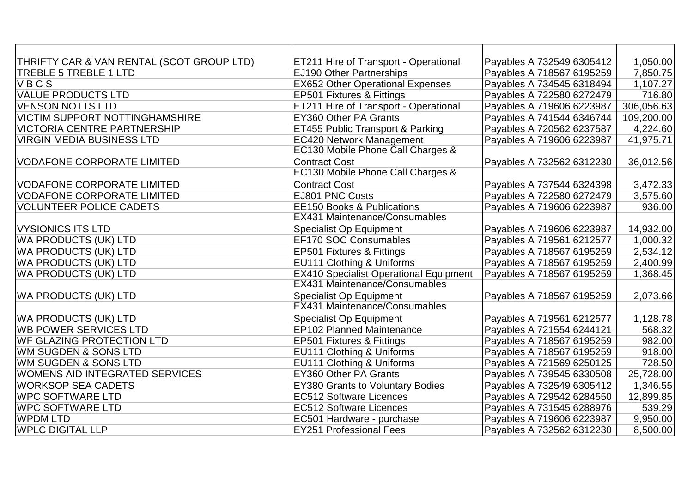| THRIFTY CAR & VAN RENTAL (SCOT GROUP LTD) | ET211 Hire of Transport - Operational         | Payables A 732549 6305412 | 1,050.00   |
|-------------------------------------------|-----------------------------------------------|---------------------------|------------|
| <b>TREBLE 5 TREBLE 1 LTD</b>              | EJ190 Other Partnerships                      | Payables A 718567 6195259 | 7,850.75   |
| VBCS                                      | <b>EX652 Other Operational Expenses</b>       | Payables A 734545 6318494 | 1,107.27   |
| <b>VALUE PRODUCTS LTD</b>                 | EP501 Fixtures & Fittings                     | Payables A 722580 6272479 | 716.80     |
| VENSON NOTTS LTD                          | ET211 Hire of Transport - Operational         | Payables A 719606 6223987 | 306,056.63 |
| <b>VICTIM SUPPORT NOTTINGHAMSHIRE</b>     | EY360 Other PA Grants                         | Payables A 741544 6346744 | 109,200.00 |
| VICTORIA CENTRE PARTNERSHIP               | ET455 Public Transport & Parking              | Payables A 720562 6237587 | 4,224.60   |
| <b>VIRGIN MEDIA BUSINESS LTD</b>          | <b>EC420 Network Management</b>               | Payables A 719606 6223987 | 41,975.71  |
|                                           | EC130 Mobile Phone Call Charges &             |                           |            |
| <b>VODAFONE CORPORATE LIMITED</b>         | <b>Contract Cost</b>                          | Payables A 732562 6312230 | 36,012.56  |
|                                           | EC130 Mobile Phone Call Charges &             |                           |            |
| VODAFONE CORPORATE LIMITED                | <b>Contract Cost</b>                          | Payables A 737544 6324398 | 3,472.33   |
| VODAFONE CORPORATE LIMITED                | EJ801 PNC Costs                               | Payables A 722580 6272479 | 3,575.60   |
| <b>VOLUNTEER POLICE CADETS</b>            | <b>EE150 Books &amp; Publications</b>         | Payables A 719606 6223987 | 936.00     |
|                                           | <b>EX431 Maintenance/Consumables</b>          |                           |            |
| <b>VYSIONICS ITS LTD</b>                  | <b>Specialist Op Equipment</b>                | Payables A 719606 6223987 | 14,932.00  |
| WA PRODUCTS (UK) LTD                      | EF170 SOC Consumables                         | Payables A 719561 6212577 | 1,000.32   |
| WA PRODUCTS (UK) LTD                      | EP501 Fixtures & Fittings                     | Payables A 718567 6195259 | 2,534.12   |
| WA PRODUCTS (UK) LTD                      | EU111 Clothing & Uniforms                     | Payables A 718567 6195259 | 2,400.99   |
| WA PRODUCTS (UK) LTD                      | <b>EX410 Specialist Operational Equipment</b> | Payables A 718567 6195259 | 1,368.45   |
|                                           | <b>EX431 Maintenance/Consumables</b>          |                           |            |
| <b>WA PRODUCTS (UK) LTD</b>               | <b>Specialist Op Equipment</b>                | Payables A 718567 6195259 | 2,073.66   |
|                                           | <b>EX431 Maintenance/Consumables</b>          |                           |            |
| <b>WA PRODUCTS (UK) LTD</b>               | <b>Specialist Op Equipment</b>                | Payables A 719561 6212577 | 1,128.78   |
| <b>WB POWER SERVICES LTD</b>              | <b>EP102 Planned Maintenance</b>              | Payables A 721554 6244121 | 568.32     |
| <b>IWF GLAZING PROTECTION LTD</b>         | EP501 Fixtures & Fittings                     | Payables A 718567 6195259 | 982.00     |
| WM SUGDEN & SONS LTD                      | EU111 Clothing & Uniforms                     | Payables A 718567 6195259 | 918.00     |
| WM SUGDEN & SONS LTD                      | EU111 Clothing & Uniforms                     | Payables A 721569 6250125 | 728.50     |
| WOMENS AID INTEGRATED SERVICES            | <b>EY360 Other PA Grants</b>                  | Payables A 739545 6330508 | 25,728.00  |
| <b>IWORKSOP SEA CADETS</b>                | <b>EY380 Grants to Voluntary Bodies</b>       | Payables A 732549 6305412 | 1,346.55   |
| <b>WPC SOFTWARE LTD</b>                   | <b>EC512 Software Licences</b>                | Payables A 729542 6284550 | 12,899.85  |
| <b>WPC SOFTWARE LTD</b>                   | <b>EC512 Software Licences</b>                | Payables A 731545 6288976 | 539.29     |
| <b>WPDM LTD</b>                           | EC501 Hardware - purchase                     | Payables A 719606 6223987 | 9,950.00   |
| <b>WPLC DIGITAL LLP</b>                   | <b>EY251 Professional Fees</b>                | Payables A 732562 6312230 | 8,500.00   |